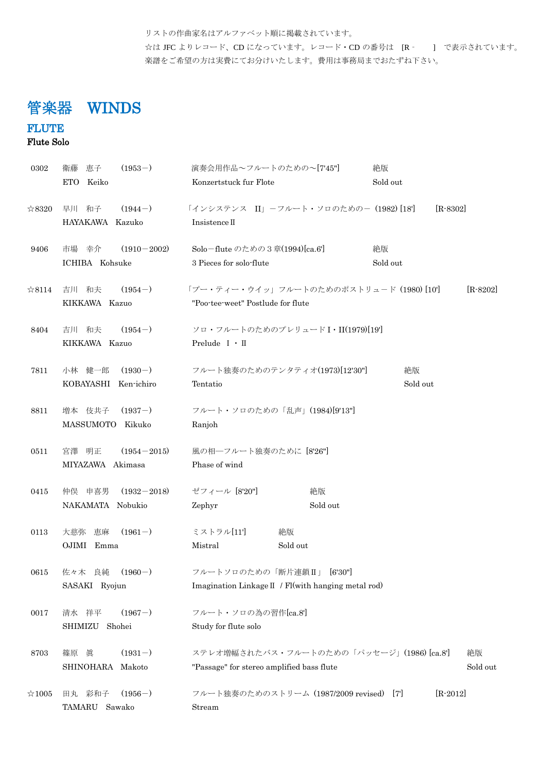リストの作曲家名はアルファベット順に掲載されています。 ☆は JFC よりレコード、CD になっています。レコード・CD の番号は [R - ] で表示されています。 楽譜をご希望の方は実費にてお分けいたします。費用は事務局までおたずね下さい。

# 管楽器 WINDS

## **FLUTE**

Flute Solo

| 0302           | $(1953-)$<br>恵子<br>衛藤                            | 演奏会用作品~フルートのための~[7'45"]                                                                | 絶版             |
|----------------|--------------------------------------------------|----------------------------------------------------------------------------------------|----------------|
|                | ETO Keiko                                        | Konzertstuck fur Flote                                                                 | Sold out       |
| ☆8320          | 早川和子<br>$(1944-)$<br>HAYAKAWA Kazuko             | 「インシステンス II」-フルート・ソロのための- (1982) [18]<br>Insistence II                                 | $[R-8302]$     |
| 9406           | $(1910 - 2002)$<br>市場の幸介<br>ICHIBA Kohsuke       | Solo-flute のための3章(1994)[ca.6]<br>3 Pieces for solo-flute                               | 絶版<br>Sold out |
| $\&8114$       | $(1954-)$<br>吉川 和夫<br>KIKKAWA Kazuo              | 「プー・ティー・ウイッ」フルートのためのポストリュード (1980) [10]<br>"Poo-tee-weet" Postlude for flute           | $[R - 8202]$   |
| 8404           | $(1954-)$<br>吉川和夫<br>KIKKAWA Kazuo               | ソロ・フルートのためのプレリュード I・II(1979)[19]<br>Prelude $I \cdot II$                               |                |
| 7811           | 小林 健一郎 (1930-)<br>KOBAYASHI Ken-ichiro           | フルート独奏のためのテンタティオ(1973)[12'30"]<br>Tentatio                                             | 絶版<br>Sold out |
| 8811           | 増本 伎共子<br>$(1937-)$<br>MASSUMOTO Kikuko          | フルート・ソロのための「乱声」(1984)[9'13"]<br>Ranjoh                                                 |                |
| 0511           | 宮澤 明正<br>$(1954 - 2015)$<br>MIYAZAWA Akimasa     | 風の相一フルート独奏のために [8'26"]<br>Phase of wind                                                |                |
| 0415           | 仲俣<br>申喜男<br>$(1932 - 2018)$<br>NAKAMATA Nobukio | ゼフィール [8'20"]<br>絶版<br>Sold out<br>Zephyr                                              |                |
| 0113           | $(1961-)$<br>大慈弥<br>恵麻<br>OJIMI Emma             | ミストラル[11]<br>絶版<br>Mistral<br>Sold out                                                 |                |
| 0615           | 佐々木 良純<br>$(1960-)$<br>SASAKI Ryojun             | フルートソロのための「断片連鎖II」<br>[6'30"]<br>Imagination Linkage II / Fl(with hanging metal rod)   |                |
| 0017           | $(1967-)$<br>清水 祥平<br>SHIMIZU<br>Shohei          | フルート・ソロの為の習作[ca.8']<br>Study for flute solo                                            |                |
| 8703           | $(1931-)$<br>篠原 眞<br>SHINOHARA Makoto            | ステレオ増幅されたバス・フルートのための「パッセージ」(1986) [ca.8']<br>"Passage" for stereo amplified bass flute | 絶版<br>Sold out |
| $\approx 1005$ | $(1956-)$<br>田丸 彩和子<br>TAMARU<br>Sawako          | フルート独奏のためのストリーム (1987/2009 revised) [7]<br>Stream                                      | $[R - 2012]$   |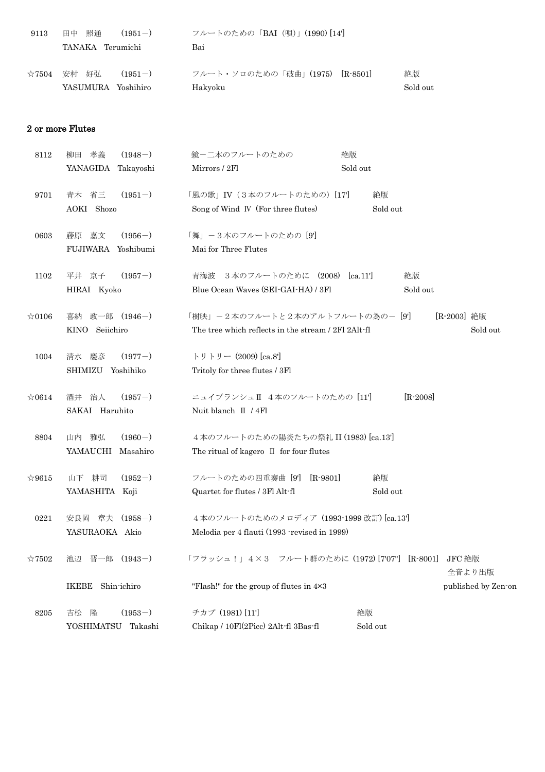| 9113           | 照通<br>田中<br>$(1951 - )$<br>TANAKA Terumichi | フルートのための「BAI (唄)」(1990)[14]<br>Bai        |                |
|----------------|---------------------------------------------|-------------------------------------------|----------------|
| $\approx 7504$ | 安村 好弘<br>$(1951 - )$<br>YASUMURA Yoshihiro  | フルート・ソロのための「破曲」(1975) [R-8501]<br>Hakyoku | 絶版<br>Sold out |

#### 2 or more Flutes

| 8112           | $(1948-)$<br>柳田 孝義    | 鏡ー二本のフルートのための<br>絶版                                                   |
|----------------|-----------------------|-----------------------------------------------------------------------|
|                | YANAGIDA Takayoshi    | Sold out<br>Mirrors / 2Fl                                             |
| 9701           | 青木 省三<br>$(1951-)$    | 「風の歌」IV (3本のフルートのための) [17]<br>絶版                                      |
|                | AOKI Shozo            | Song of Wind IV (For three flutes)<br>Sold out                        |
| 0603           | 嘉文<br>$(1956-)$<br>藤原 | 「舞」-3本のフルートのための [9]                                                   |
|                | FUJIWARA Yoshibumi    | Mai for Three Flutes                                                  |
| 1102           | $(1957-)$<br>平井京子     | 青海波 3本のフルートのために (2008)<br>[ca.11]<br>絶版                               |
|                | HIRAI Kyoko           | Blue Ocean Waves (SEI-GAI-HA) / 3Fl<br>Sold out                       |
| $\approx 0106$ | 喜納 政一郎 (1946-)        | 「樹映」-2本のフルートと2本のアルトフルートの為の- [9']<br>[R-2003] 絶版                       |
|                | KINO Seiichiro        | The tree which reflects in the stream / 2Fl 2Alt-fl<br>Sold out       |
| 1004           | $(1977-)$<br>清水 慶彦    | トリトリー (2009) [ca.8]                                                   |
|                | SHIMIZU Yoshihiko     | Tritoly for three flutes / 3Fl                                        |
| $\approx 0614$ | 酒井 治人<br>$(1957-)$    | ニュイブランシュⅡ 4本のフルートのための [11]<br>$[R - 2008]$                            |
|                | SAKAI Haruhito        | Nuit blanch II / 4Fl                                                  |
| 8804           | $(1960-)$<br>山内 雅弘    | 4本のフルートのための陽炎たちの祭礼 II (1983) [ca.13']                                 |
|                | YAMAUCHI<br>Masahiro  | The ritual of kagero II for four flutes                               |
| $\approx 9615$ | $(1952-)$<br>山下 耕司    | $[R-9801]$<br>フルートのための四重奏曲 [9]<br>絶版                                  |
|                | YAMASHITA Koji        | Quartet for flutes / 3Fl Alt-fl<br>Sold out                           |
| 0221           | 安良岡 章夫 (1958-)        | 4本のフルートのためのメロディア (1993-1999 改訂) [ca.13']                              |
|                | YASURAOKA Akio        | Melodia per 4 flauti (1993 revised in 1999)                           |
| $\approx 7502$ | 池辺 晋一郎 (1943-)        | 「フラッシュ!」4×3 フルート群のために (1972)[707"] [R-8001]<br>JFC 絶版                 |
|                |                       | 全音より出版                                                                |
|                | IKEBE Shin-ichiro     | "Flash!" for the group of flutes in $4\times3$<br>published by Zen-on |
| 8205           | $(1953-)$<br>吉松 隆     | チカプ (1981) [11]<br>絶版                                                 |
|                | YOSHIMATSU Takashi    | Chikap / 10Fl(2Picc) 2Alt-fl 3Bas-fl<br>Sold out                      |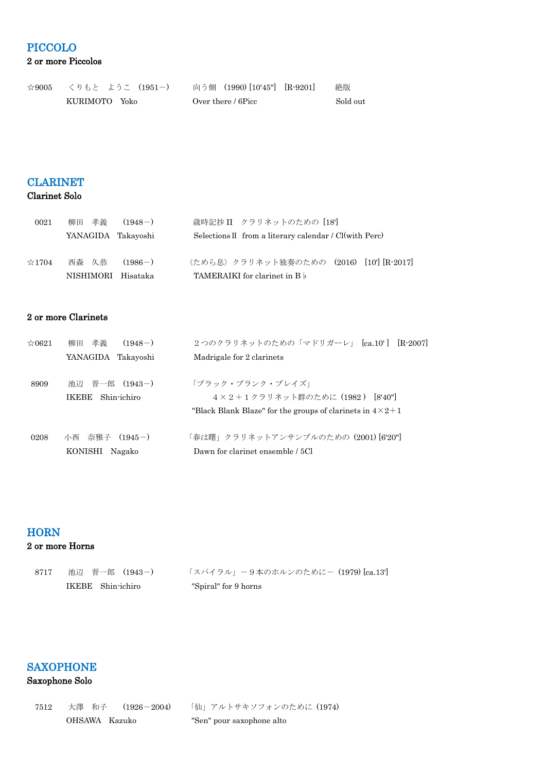### PICCOLO 2 or more Piccolos

| $\approx 9005$ | くりもと ようこ (1951-) |  | - 向う側 (1990)[10'45"] [R-9201] | 絶版       |
|----------------|------------------|--|-------------------------------|----------|
|                | KURIMOTO Yoko    |  | Over there / 6Picc            | Sold out |

#### CLARINET

#### Clarinet Solo

| 0021           | 孝義<br>柳田           | $(1948-)$ | 歳時記抄 II クラリネットのための [18]                                           |
|----------------|--------------------|-----------|-------------------------------------------------------------------|
|                | YANAGIDA Takayoshi |           | Selections $II$ from a literary calendar / $Cl(\text{with }Perc)$ |
|                |                    |           |                                                                   |
| $\approx$ 1704 | 西森 久恭              | $(1986-)$ | 〈ためら息〉クラリネット独奏のための (2016) [10'] [R-2017]                          |
|                | NISHIMORI Hisataka |           | <b>TAMERAIKI</b> for clarinet in B b                              |

#### 2 or more Clarinets

| $\approx 0621$ | 孝義<br>$(1948-)$<br>柳田       | 2つのクラリネットのための「マドリガーレ」 [ca.10'] [R-2007]                             |
|----------------|-----------------------------|---------------------------------------------------------------------|
|                | YANAGIDA Takayoshi          | Madrigale for 2 clarinets                                           |
| 8909           | 池辺 晋一郎 (1943-)              | 「ブラック・ブランク・ブレイズ」                                                    |
|                | Shin-ichiro<br><b>IKEBE</b> | 4×2+1クラリネット群のために (1982) [8'40"]                                     |
|                |                             | "Black Blank Blaze" for the groups of clarinets in $4 \times 2 + 1$ |
| 0208           | 奈雅子<br>$(1945-)$<br>小西      | 「春は曙」クラリネットアンサンブルのための (2001) [6'20"]                                |
|                | KONISHI<br>Nagako           | Dawn for clarinet ensemble / 5Cl                                    |

### **HORN**

#### 2 or more Horns

| 8717 | 池辺 晋一郎 (1943-)    | 「スパイラル」-9本のホルンのために- (1979) [ca.13'] |
|------|-------------------|-------------------------------------|
|      | IKEBE Shin-ichiro | "Spiral" for 9 horns                |

# SAXOPHONE

### Saxophone Solo

| 7512 |  | 大澤 和子  (1926-2004) |
|------|--|--------------------|
|      |  | OHSAWA Kazuko      |

「仙」アルトサキソフォンのために (1974) "Sen" pour saxophone alto